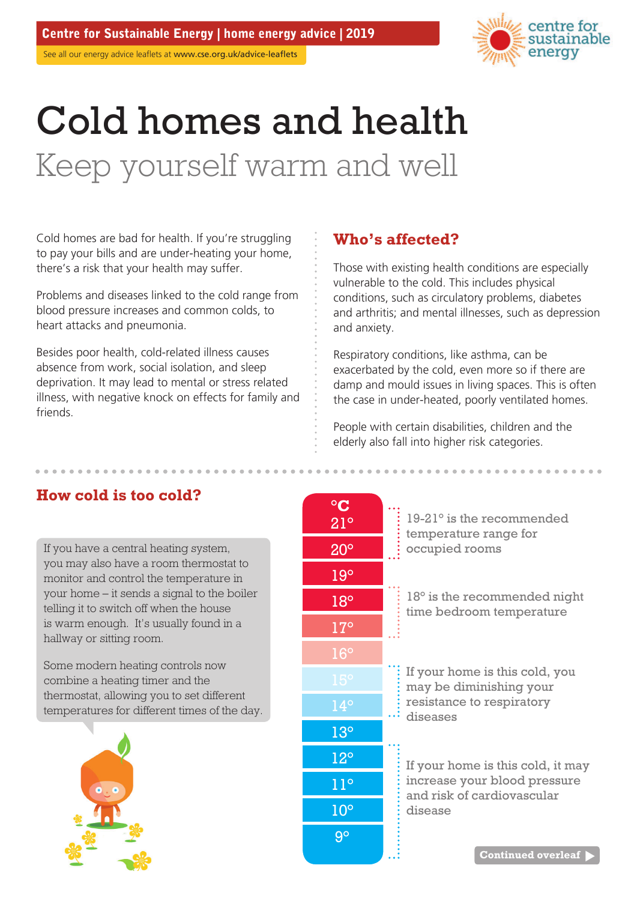# Cold homes and health Keep yourself warm and well

Cold homes are bad for health. If you're struggling to pay your bills and are under-heating your home, there's a risk that your health may suffer.

Problems and diseases linked to the cold range from blood pressure increases and common colds, to heart attacks and pneumonia.

Besides poor health, cold-related illness causes absence from work, social isolation, and sleep deprivation. It may lead to mental or stress related illness, with negative knock on effects for family and friends.

# **Who's affected?**

Those with existing health conditions are especially vulnerable to the cold. This includes physical conditions, such as circulatory problems, diabetes and arthritis; and mental illnesses, such as depression and anxiety.

Respiratory conditions, like asthma, can be exacerbated by the cold, even more so if there are damp and mould issues in living spaces. This is often the case in under-heated, poorly ventilated homes.

People with certain disabilities, children and the elderly also fall into higher risk categories.

# **°C How cold is too cold?**

If you have a central heating system, you may also have a room thermostat to monitor and control the temperature in your home – it sends a signal to the boiler telling it to switch off when the house is warm enough. It's usually found in a hallway or sitting room.

Some modern heating controls now combine a heating timer and the thermostat, allowing you to set different temperatures for different times of the day.



| $\rm ^{\circ}C$<br>$21^\circ$ | $19-21^\circ$ is the recommended<br>temperature range for<br>occupied rooms                                                                         |
|-------------------------------|-----------------------------------------------------------------------------------------------------------------------------------------------------|
| $20^{\circ}$                  |                                                                                                                                                     |
| $19^\circ$                    |                                                                                                                                                     |
| $18^{\circ}$                  | 18° is the recommended night<br>time bedroom temperature                                                                                            |
| $17^{\circ}$                  |                                                                                                                                                     |
| $16^{\circ}$                  |                                                                                                                                                     |
| $15^\circ$                    | If your home is this cold, you<br>may be diminishing your                                                                                           |
| $14^{\circ}$                  | resistance to respiratory<br>diseases<br>If your home is this cold, it may<br>increase your blood pressure<br>and risk of cardiovascular<br>disease |
| 13 <sup>°</sup>               |                                                                                                                                                     |
| $12^{\circ}$                  |                                                                                                                                                     |
| $11^{\circ}$                  |                                                                                                                                                     |
| 10 <sup>o</sup>               |                                                                                                                                                     |
| $9^\circ$                     |                                                                                                                                                     |
|                               | <b>Continued overleaf</b>                                                                                                                           |